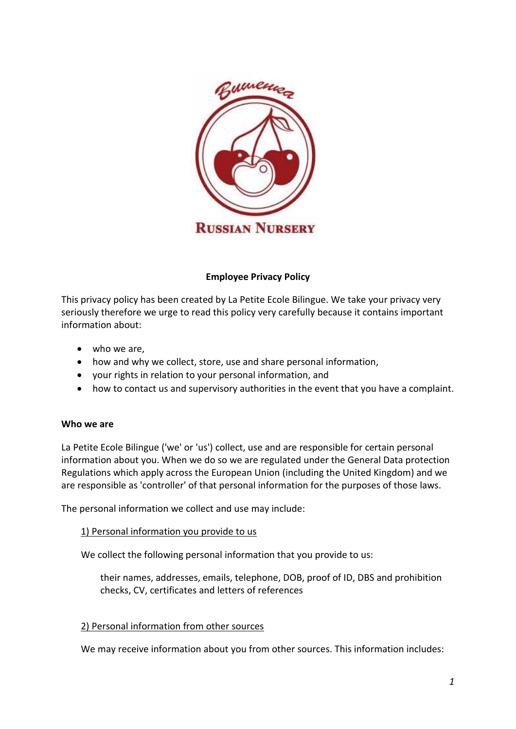

# **Employee Privacy Policy**

This privacy policy has been created by La Petite Ecole Bilingue. We take your privacy very seriously therefore we urge to read this policy very carefully because it contains important information about:

- who we are,
- how and why we collect, store, use and share personal information,
- your rights in relation to your personal information, and
- how to contact us and supervisory authorities in the event that you have a complaint.

## **Who we are**

La Petite Ecole Bilingue ('we' or 'us') collect, use and are responsible for certain personal information about you. When we do so we are regulated under the General Data protection Regulations which apply across the European Union (including the United Kingdom) and we are responsible as 'controller' of that personal information for the purposes of those laws.

The personal information we collect and use may include:

## 1) Personal information you provide to us

We collect the following personal information that you provide to us:

their names, addresses, emails, telephone, DOB, proof of ID, DBS and prohibition checks, CV, certificates and letters of references

#### 2) Personal information from other sources

We may receive information about you from other sources. This information includes: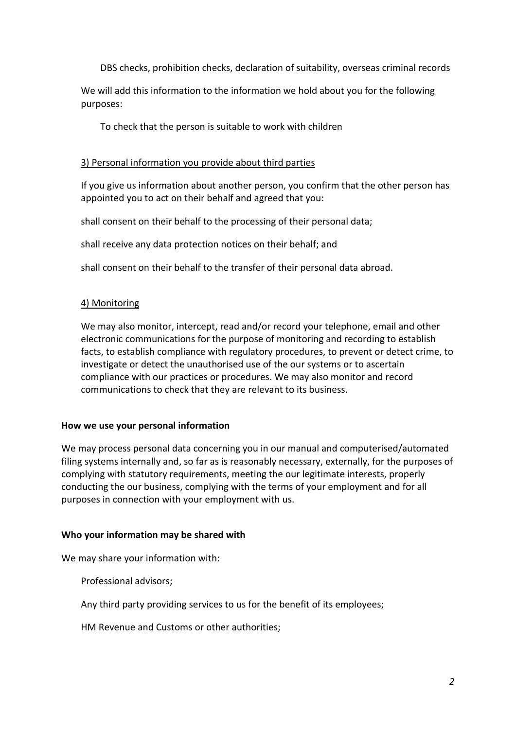DBS checks, prohibition checks, declaration of suitability, overseas criminal records

We will add this information to the information we hold about you for the following purposes:

To check that the person is suitable to work with children

### 3) Personal information you provide about third parties

If you give us information about another person, you confirm that the other person has appointed you to act on their behalf and agreed that you:

shall consent on their behalf to the processing of their personal data;

shall receive any data protection notices on their behalf; and

shall consent on their behalf to the transfer of their personal data abroad.

## 4) Monitoring

We may also monitor, intercept, read and/or record your telephone, email and other electronic communications for the purpose of monitoring and recording to establish facts, to establish compliance with regulatory procedures, to prevent or detect crime, to investigate or detect the unauthorised use of the our systems or to ascertain compliance with our practices or procedures. We may also monitor and record communications to check that they are relevant to its business.

#### **How we use your personal information**

We may process personal data concerning you in our manual and computerised/automated filing systems internally and, so far as is reasonably necessary, externally, for the purposes of complying with statutory requirements, meeting the our legitimate interests, properly conducting the our business, complying with the terms of your employment and for all purposes in connection with your employment with us.

#### **Who your information may be shared with**

We may share your information with:

Professional advisors;

Any third party providing services to us for the benefit of its employees;

HM Revenue and Customs or other authorities;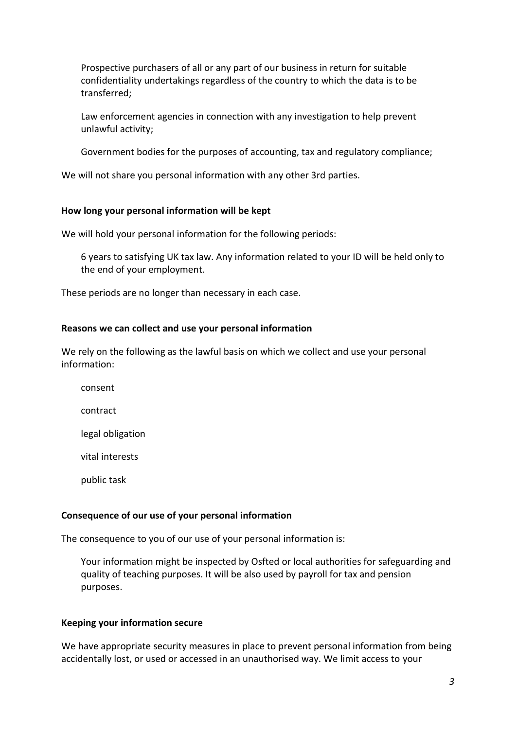Prospective purchasers of all or any part of our business in return for suitable confidentiality undertakings regardless of the country to which the data is to be transferred;

Law enforcement agencies in connection with any investigation to help prevent unlawful activity;

Government bodies for the purposes of accounting, tax and regulatory compliance;

We will not share you personal information with any other 3rd parties.

### **How long your personal information will be kept**

We will hold your personal information for the following periods:

6 years to satisfying UK tax law. Any information related to your ID will be held only to the end of your employment.

These periods are no longer than necessary in each case.

### **Reasons we can collect and use your personal information**

We rely on the following as the lawful basis on which we collect and use your personal information:

consent

contract

legal obligation

vital interests

public task

#### **Consequence of our use of your personal information**

The consequence to you of our use of your personal information is:

Your information might be inspected by Osfted or local authorities for safeguarding and quality of teaching purposes. It will be also used by payroll for tax and pension purposes.

#### **Keeping your information secure**

We have appropriate security measures in place to prevent personal information from being accidentally lost, or used or accessed in an unauthorised way. We limit access to your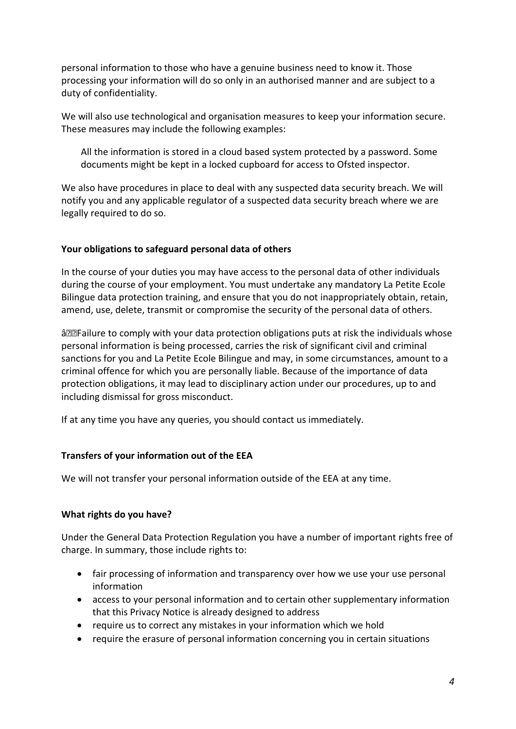personal information to those who have a genuine business need to know it. Those processing your information will do so only in an authorised manner and are subject to a duty of confidentiality.

We will also use technological and organisation measures to keep your information secure. These measures may include the following examples:

All the information is stored in a cloud based system protected by a password. Some documents might be kept in a locked cupboard for access to Ofsted inspector.

We also have procedures in place to deal with any suspected data security breach. We will notify you and any applicable regulator of a suspected data security breach where we are legally required to do so.

## **Your obligations to safeguard personal data of others**

In the course of your duties you may have access to the personal data of other individuals during the course of your employment. You must undertake any mandatory La Petite Ecole Bilingue data protection training, and ensure that you do not inappropriately obtain, retain, amend, use, delete, transmit or compromise the security of the personal data of others.

 $\hat{a} \in \mathbb{F}$  Failure to comply with your data protection obligations puts at risk the individuals whose personal information is being processed, carries the risk of significant civil and criminal sanctions for you and La Petite Ecole Bilingue and may, in some circumstances, amount to a criminal offence for which you are personally liable. Because of the importance of data protection obligations, it may lead to disciplinary action under our procedures, up to and including dismissal for gross misconduct.

If at any time you have any queries, you should contact us immediately.

#### **Transfers of your information out of the EEA**

We will not transfer your personal information outside of the EEA at any time.

#### **What rights do you have?**

Under the General Data Protection Regulation you have a number of important rights free of charge. In summary, those include rights to:

- fair processing of information and transparency over how we use your use personal information
- access to your personal information and to certain other supplementary information that this Privacy Notice is already designed to address
- require us to correct any mistakes in your information which we hold
- require the erasure of personal information concerning you in certain situations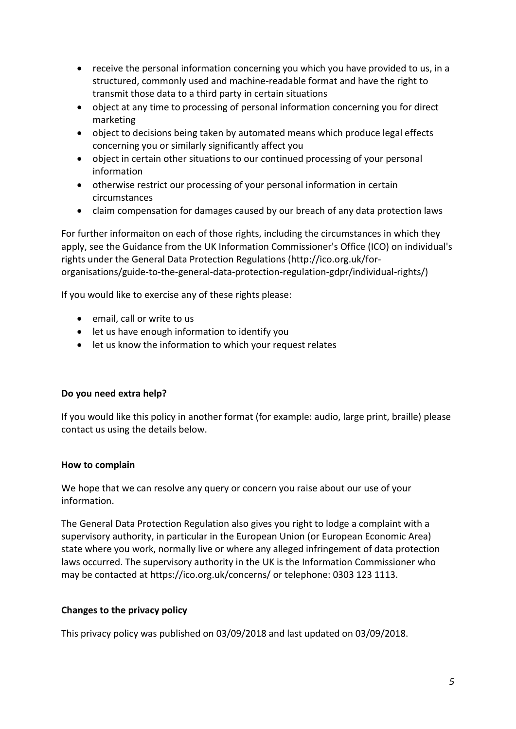- receive the personal information concerning you which you have provided to us, in a structured, commonly used and machine-readable format and have the right to transmit those data to a third party in certain situations
- object at any time to processing of personal information concerning you for direct marketing
- object to decisions being taken by automated means which produce legal effects concerning you or similarly significantly affect you
- object in certain other situations to our continued processing of your personal information
- otherwise restrict our processing of your personal information in certain circumstances
- claim compensation for damages caused by our breach of any data protection laws

For further informaiton on each of those rights, including the circumstances in which they apply, see the Guidance from the UK Information Commissioner's Office (ICO) on individual's rights under the General Data Protection Regulations (http://ico.org.uk/fororganisations/guide-to-the-general-data-protection-regulation-gdpr/individual-rights/)

If you would like to exercise any of these rights please:

- email, call or write to us
- let us have enough information to identify you
- let us know the information to which your request relates

## **Do you need extra help?**

If you would like this policy in another format (for example: audio, large print, braille) please contact us using the details below.

## **How to complain**

We hope that we can resolve any query or concern you raise about our use of your information.

The General Data Protection Regulation also gives you right to lodge a complaint with a supervisory authority, in particular in the European Union (or European Economic Area) state where you work, normally live or where any alleged infringement of data protection laws occurred. The supervisory authority in the UK is the Information Commissioner who may be contacted at https://ico.org.uk/concerns/ or telephone: 0303 123 1113.

## **Changes to the privacy policy**

This privacy policy was published on 03/09/2018 and last updated on 03/09/2018.